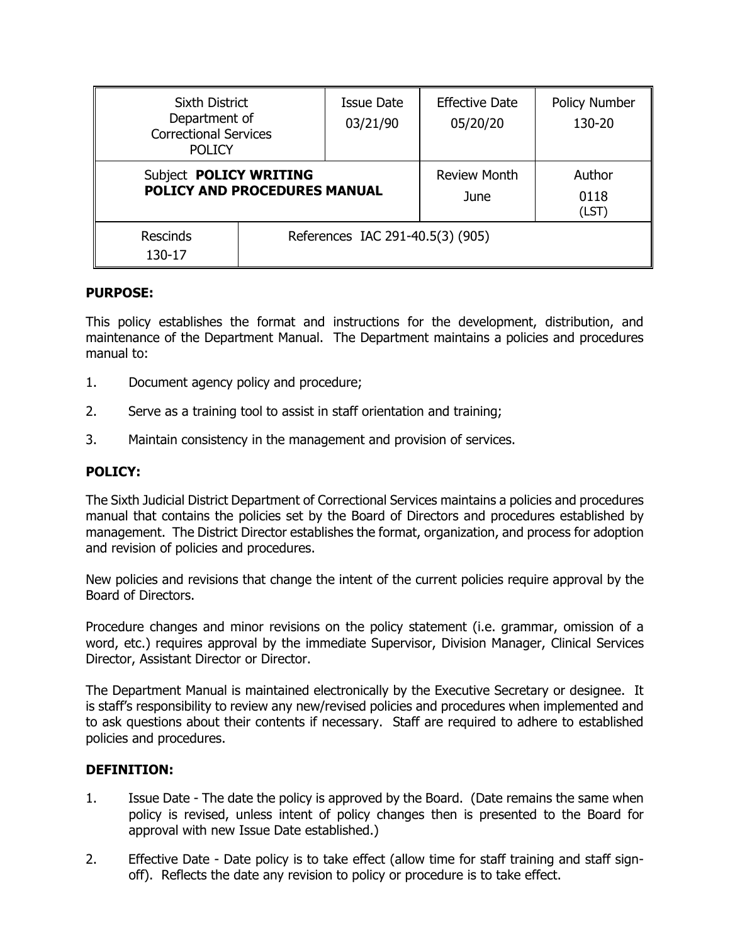| <b>Sixth District</b><br>Department of<br><b>Correctional Services</b><br><b>POLICY</b> |                                  | Issue Date<br>03/21/90 | <b>Effective Date</b><br>05/20/20 | <b>Policy Number</b><br>130-20 |  |
|-----------------------------------------------------------------------------------------|----------------------------------|------------------------|-----------------------------------|--------------------------------|--|
| Subject POLICY WRITING<br><b>POLICY AND PROCEDURES MANUAL</b>                           |                                  |                        | <b>Review Month</b><br>June       | Author<br>0118<br>(LST)        |  |
| <b>Rescinds</b><br>130-17                                                               | References IAC 291-40.5(3) (905) |                        |                                   |                                |  |

# **PURPOSE:**

This policy establishes the format and instructions for the development, distribution, and maintenance of the Department Manual. The Department maintains a policies and procedures manual to:

- 1. Document agency policy and procedure;
- 2. Serve as a training tool to assist in staff orientation and training;
- 3. Maintain consistency in the management and provision of services.

### **POLICY:**

The Sixth Judicial District Department of Correctional Services maintains a policies and procedures manual that contains the policies set by the Board of Directors and procedures established by management. The District Director establishes the format, organization, and process for adoption and revision of policies and procedures.

New policies and revisions that change the intent of the current policies require approval by the Board of Directors.

Procedure changes and minor revisions on the policy statement (i.e. grammar, omission of a word, etc.) requires approval by the immediate Supervisor, Division Manager, Clinical Services Director, Assistant Director or Director.

The Department Manual is maintained electronically by the Executive Secretary or designee. It is staff's responsibility to review any new/revised policies and procedures when implemented and to ask questions about their contents if necessary. Staff are required to adhere to established policies and procedures.

### **DEFINITION:**

- 1. Issue Date The date the policy is approved by the Board. (Date remains the same when policy is revised, unless intent of policy changes then is presented to the Board for approval with new Issue Date established.)
- 2. Effective Date Date policy is to take effect (allow time for staff training and staff signoff). Reflects the date any revision to policy or procedure is to take effect.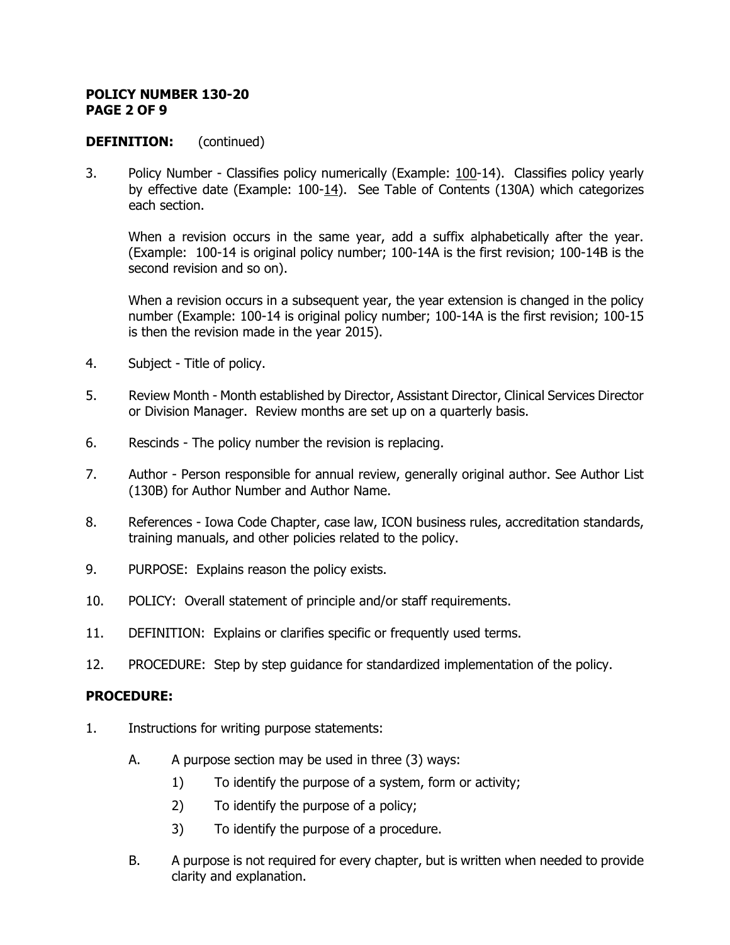#### **POLICY NUMBER 130-20 PAGE 2 OF 9**

# **DEFINITION:** (continued)

3. Policy Number - Classifies policy numerically (Example: 100-14). Classifies policy yearly by effective date (Example:  $100-14$ ). See Table of Contents (130A) which categorizes each section.

When a revision occurs in the same year, add a suffix alphabetically after the year. (Example: 100-14 is original policy number; 100-14A is the first revision; 100-14B is the second revision and so on).

When a revision occurs in a subsequent year, the year extension is changed in the policy number (Example: 100-14 is original policy number; 100-14A is the first revision; 100-15 is then the revision made in the year 2015).

- 4. Subject Title of policy.
- 5. Review Month Month established by Director, Assistant Director, Clinical Services Director or Division Manager. Review months are set up on a quarterly basis.
- 6. Rescinds The policy number the revision is replacing.
- 7. Author Person responsible for annual review, generally original author. See Author List (130B) for Author Number and Author Name.
- 8. References Iowa Code Chapter, case law, ICON business rules, accreditation standards, training manuals, and other policies related to the policy.
- 9. PURPOSE: Explains reason the policy exists.
- 10. POLICY: Overall statement of principle and/or staff requirements.
- 11. DEFINITION: Explains or clarifies specific or frequently used terms.
- 12. PROCEDURE: Step by step guidance for standardized implementation of the policy.

### **PROCEDURE:**

- 1. Instructions for writing purpose statements:
	- A. A purpose section may be used in three (3) ways:
		- 1) To identify the purpose of a system, form or activity;
		- 2) To identify the purpose of a policy;
		- 3) To identify the purpose of a procedure.
	- B. A purpose is not required for every chapter, but is written when needed to provide clarity and explanation.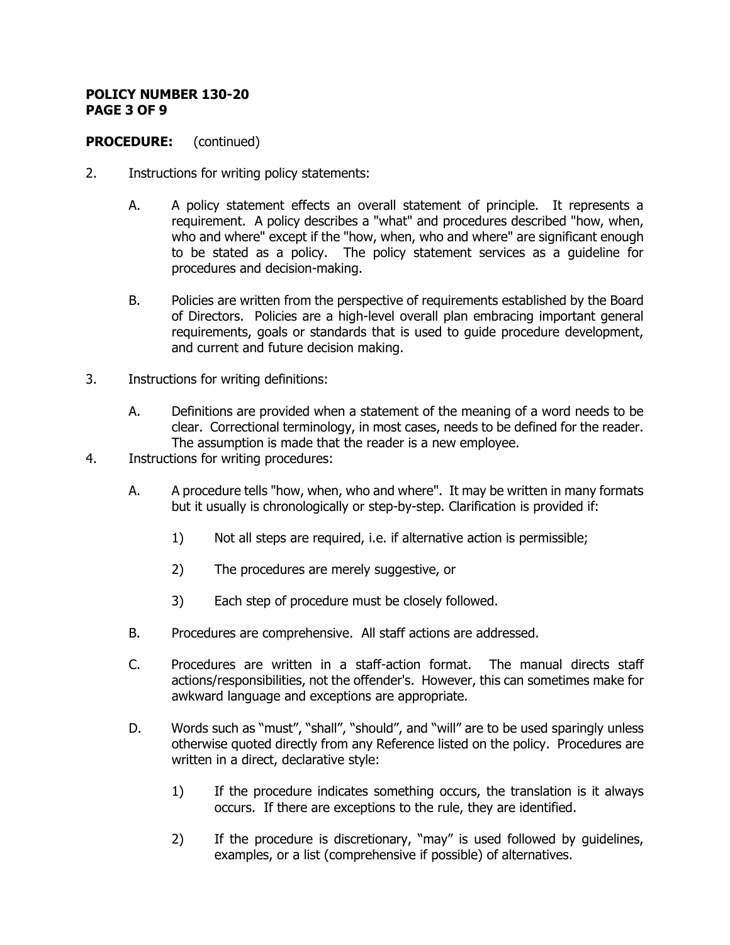#### **POLICY NUMBER 130-20 PAGE 3 OF 9**

# **PROCEDURE:** (continued)

- 2. Instructions for writing policy statements:
	- A. A policy statement effects an overall statement of principle. It represents a requirement. A policy describes a "what" and procedures described "how, when, who and where" except if the "how, when, who and where" are significant enough to be stated as a policy. The policy statement services as a guideline for procedures and decision-making.
	- B. Policies are written from the perspective of requirements established by the Board of Directors. Policies are a high-level overall plan embracing important general requirements, goals or standards that is used to guide procedure development, and current and future decision making.
- 3. Instructions for writing definitions:
	- A. Definitions are provided when a statement of the meaning of a word needs to be clear. Correctional terminology, in most cases, needs to be defined for the reader. The assumption is made that the reader is a new employee.
- 4. Instructions for writing procedures:
	- A. A procedure tells "how, when, who and where". It may be written in many formats but it usually is chronologically or step-by-step. Clarification is provided if:
		- 1) Not all steps are required, i.e. if alternative action is permissible;
		- 2) The procedures are merely suggestive, or
		- 3) Each step of procedure must be closely followed.
	- B. Procedures are comprehensive. All staff actions are addressed.
	- C. Procedures are written in a staff-action format. The manual directs staff actions/responsibilities, not the offender's. However, this can sometimes make for awkward language and exceptions are appropriate.
	- D. Words such as "must", "shall", "should", and "will" are to be used sparingly unless otherwise quoted directly from any Reference listed on the policy. Procedures are written in a direct, declarative style:
		- 1) If the procedure indicates something occurs, the translation is it always occurs. If there are exceptions to the rule, they are identified.
		- 2) If the procedure is discretionary, "may" is used followed by guidelines, examples, or a list (comprehensive if possible) of alternatives.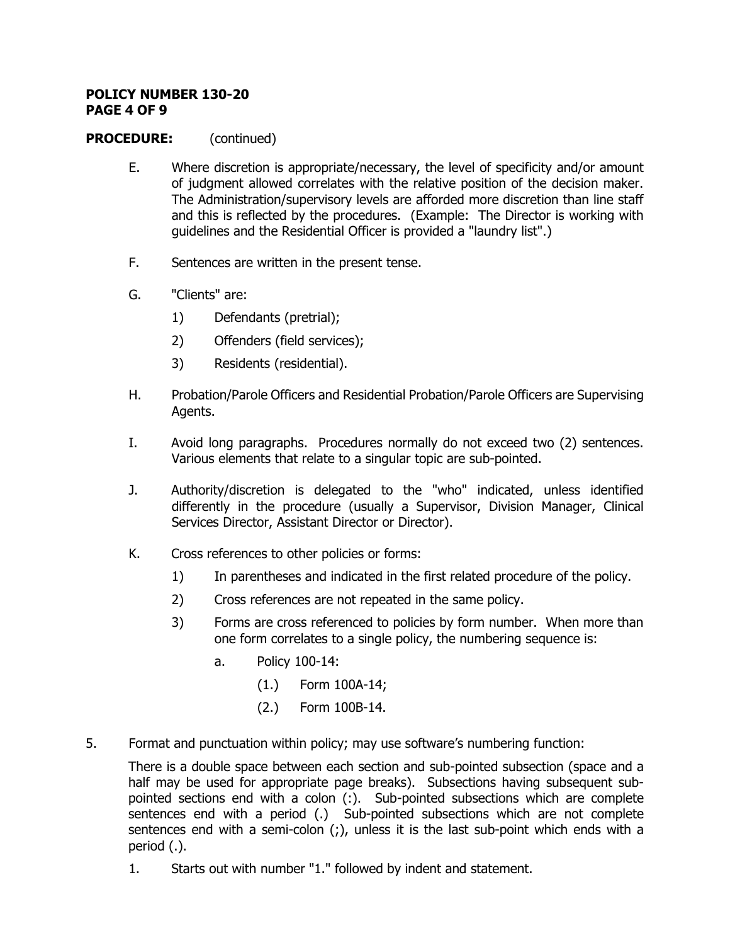#### **POLICY NUMBER 130-20 PAGE 4 OF 9**

# **PROCEDURE:** (continued)

- E. Where discretion is appropriate/necessary, the level of specificity and/or amount of judgment allowed correlates with the relative position of the decision maker. The Administration/supervisory levels are afforded more discretion than line staff and this is reflected by the procedures. (Example: The Director is working with guidelines and the Residential Officer is provided a "laundry list".)
- F. Sentences are written in the present tense.
- G. "Clients" are:
	- 1) Defendants (pretrial);
	- 2) Offenders (field services);
	- 3) Residents (residential).
- H. Probation/Parole Officers and Residential Probation/Parole Officers are Supervising Agents.
- I. Avoid long paragraphs. Procedures normally do not exceed two (2) sentences. Various elements that relate to a singular topic are sub-pointed.
- J. Authority/discretion is delegated to the "who" indicated, unless identified differently in the procedure (usually a Supervisor, Division Manager, Clinical Services Director, Assistant Director or Director).
- K. Cross references to other policies or forms:
	- 1) In parentheses and indicated in the first related procedure of the policy.
	- 2) Cross references are not repeated in the same policy.
	- 3) Forms are cross referenced to policies by form number. When more than one form correlates to a single policy, the numbering sequence is:
		- a. Policy 100-14:
			- (1.) Form 100A-14;
			- (2.) Form 100B-14.
- 5. Format and punctuation within policy; may use software's numbering function:

There is a double space between each section and sub-pointed subsection (space and a half may be used for appropriate page breaks). Subsections having subsequent subpointed sections end with a colon (:). Sub-pointed subsections which are complete sentences end with a period (.) Sub-pointed subsections which are not complete sentences end with a semi-colon (;), unless it is the last sub-point which ends with a period (.).

1. Starts out with number "1." followed by indent and statement.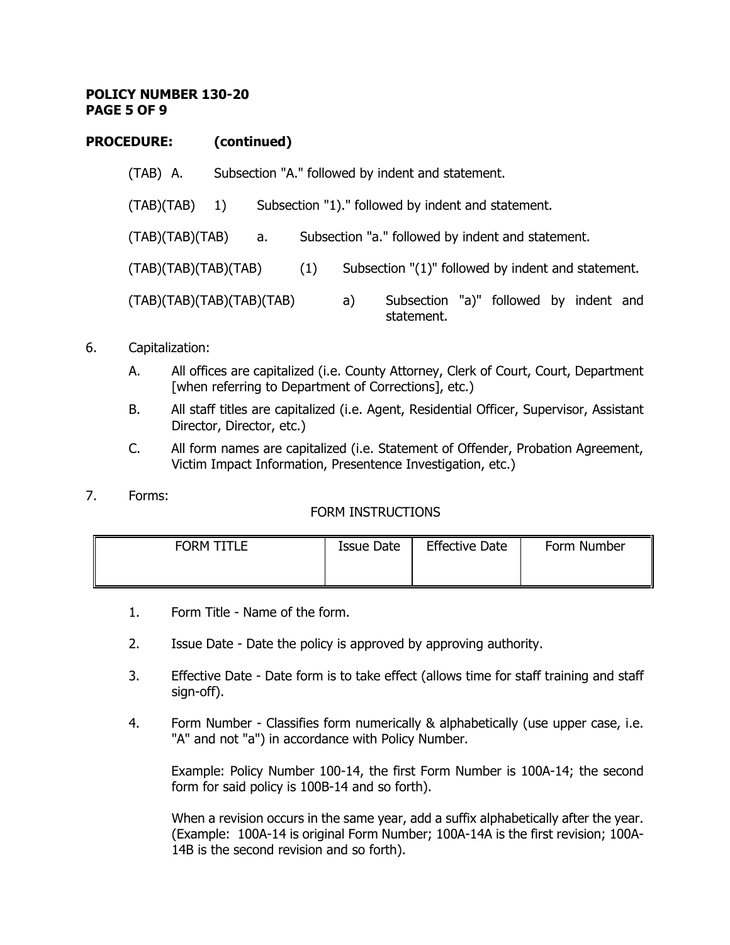#### **POLICY NUMBER 130-20 PAGE 5 OF 9**

## **PROCEDURE: (continued)**

| (TAB) A.                  | Subsection "A." followed by indent and statement. |    |     |    |                                                      |  |  |  |
|---------------------------|---------------------------------------------------|----|-----|----|------------------------------------------------------|--|--|--|
| (TAB)(TAB)                | 1)                                                |    |     |    | Subsection "1)." followed by indent and statement.   |  |  |  |
| (TAB)(TAB)(TAB)           |                                                   | а. |     |    | Subsection "a." followed by indent and statement.    |  |  |  |
| (TAB)(TAB)(TAB)(TAB)      |                                                   |    | (1) |    | Subsection "(1)" followed by indent and statement.   |  |  |  |
| (TAB)(TAB)(TAB)(TAB)(TAB) |                                                   |    |     | a) | Subsection "a)" followed by indent and<br>statement. |  |  |  |

- 6. Capitalization:
	- A. All offices are capitalized (i.e. County Attorney, Clerk of Court, Court, Department [when referring to Department of Corrections], etc.)
	- B. All staff titles are capitalized (i.e. Agent, Residential Officer, Supervisor, Assistant Director, Director, etc.)
	- C. All form names are capitalized (i.e. Statement of Offender, Probation Agreement, Victim Impact Information, Presentence Investigation, etc.)
- 7. Forms:

# FORM INSTRUCTIONS

| <b>FORM TITLE</b> | Issue Date | <b>Effective Date</b> | Form Number |
|-------------------|------------|-----------------------|-------------|
|                   |            |                       |             |

- 1. Form Title Name of the form.
- 2. Issue Date Date the policy is approved by approving authority.
- 3. Effective Date Date form is to take effect (allows time for staff training and staff sign-off).
- 4. Form Number Classifies form numerically & alphabetically (use upper case, i.e. "A" and not "a") in accordance with Policy Number.

Example: Policy Number 100-14, the first Form Number is 100A-14; the second form for said policy is 100B-14 and so forth).

When a revision occurs in the same year, add a suffix alphabetically after the year. (Example: 100A-14 is original Form Number; 100A-14A is the first revision; 100A-14B is the second revision and so forth).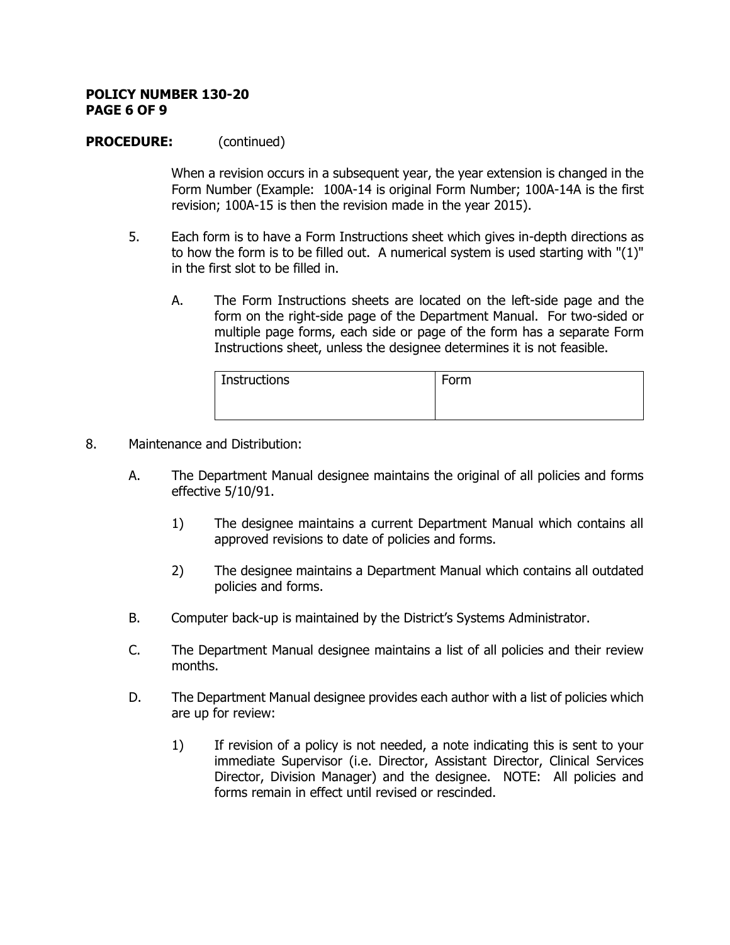#### **POLICY NUMBER 130-20 PAGE 6 OF 9**

## **PROCEDURE:** (continued)

When a revision occurs in a subsequent year, the year extension is changed in the Form Number (Example: 100A-14 is original Form Number; 100A-14A is the first revision; 100A-15 is then the revision made in the year 2015).

- 5. Each form is to have a Form Instructions sheet which gives in-depth directions as to how the form is to be filled out. A numerical system is used starting with " $(1)$ " in the first slot to be filled in.
	- A. The Form Instructions sheets are located on the left-side page and the form on the right-side page of the Department Manual. For two-sided or multiple page forms, each side or page of the form has a separate Form Instructions sheet, unless the designee determines it is not feasible.

| Instructions | Form |
|--------------|------|
|              |      |
|              |      |

- 8. Maintenance and Distribution:
	- A. The Department Manual designee maintains the original of all policies and forms effective 5/10/91.
		- 1) The designee maintains a current Department Manual which contains all approved revisions to date of policies and forms.
		- 2) The designee maintains a Department Manual which contains all outdated policies and forms.
	- B. Computer back-up is maintained by the District's Systems Administrator.
	- C. The Department Manual designee maintains a list of all policies and their review months.
	- D. The Department Manual designee provides each author with a list of policies which are up for review:
		- 1) If revision of a policy is not needed, a note indicating this is sent to your immediate Supervisor (i.e. Director, Assistant Director, Clinical Services Director, Division Manager) and the designee. NOTE: All policies and forms remain in effect until revised or rescinded.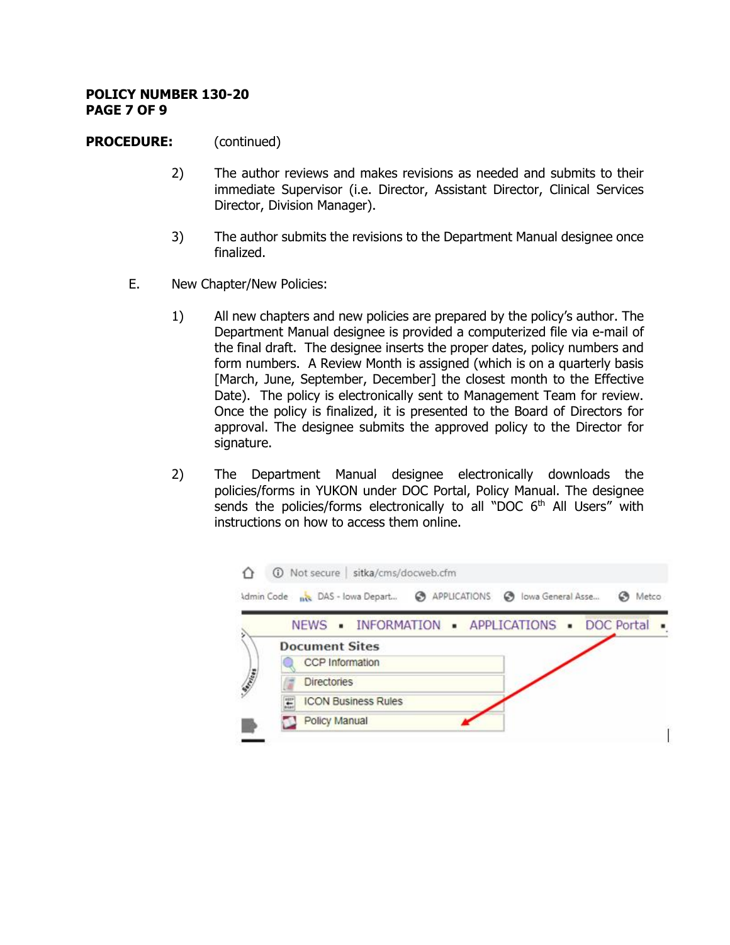#### **POLICY NUMBER 130-20 PAGE 7 OF 9**

## **PROCEDURE:** (continued)

- 2) The author reviews and makes revisions as needed and submits to their immediate Supervisor (i.e. Director, Assistant Director, Clinical Services Director, Division Manager).
- 3) The author submits the revisions to the Department Manual designee once finalized.
- E. New Chapter/New Policies:
	- 1) All new chapters and new policies are prepared by the policy's author. The Department Manual designee is provided a computerized file via e-mail of the final draft. The designee inserts the proper dates, policy numbers and form numbers. A Review Month is assigned (which is on a quarterly basis [March, June, September, December] the closest month to the Effective Date). The policy is electronically sent to Management Team for review. Once the policy is finalized, it is presented to the Board of Directors for approval. The designee submits the approved policy to the Director for signature.
	- 2) The Department Manual designee electronically downloads the policies/forms in YUKON under DOC Portal, Policy Manual. The designee sends the policies/forms electronically to all "DOC  $6<sup>th</sup>$  All Users" with instructions on how to access them online.

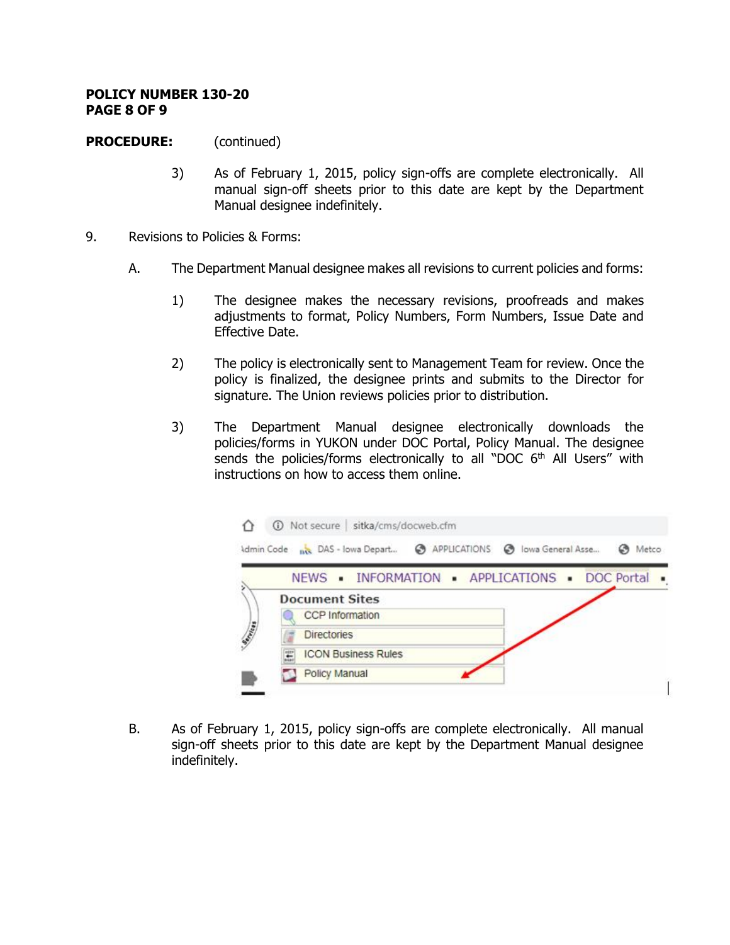#### **POLICY NUMBER 130-20 PAGE 8 OF 9**

# **PROCEDURE:** (continued)

- 3) As of February 1, 2015, policy sign-offs are complete electronically. All manual sign-off sheets prior to this date are kept by the Department Manual designee indefinitely.
- 9. Revisions to Policies & Forms:
	- A. The Department Manual designee makes all revisions to current policies and forms:
		- 1) The designee makes the necessary revisions, proofreads and makes adjustments to format, Policy Numbers, Form Numbers, Issue Date and Effective Date.
		- 2) The policy is electronically sent to Management Team for review. Once the policy is finalized, the designee prints and submits to the Director for signature. The Union reviews policies prior to distribution.
		- 3) The Department Manual designee electronically downloads the policies/forms in YUKON under DOC Portal, Policy Manual. The designee sends the policies/forms electronically to all "DOC  $6<sup>th</sup>$  All Users" with instructions on how to access them online.



B. As of February 1, 2015, policy sign-offs are complete electronically. All manual sign-off sheets prior to this date are kept by the Department Manual designee indefinitely.